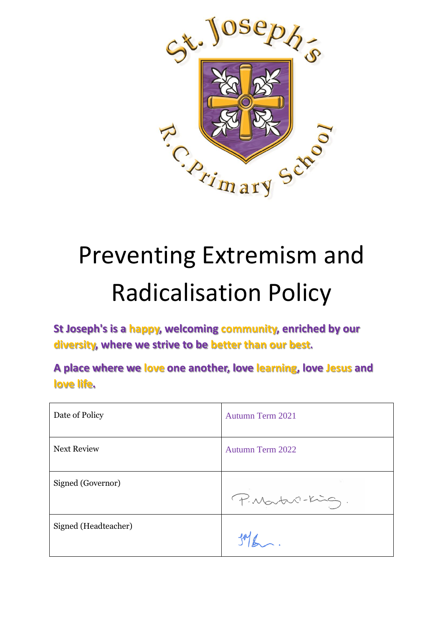

# Preventing Extremism and Radicalisation Policy

**St Joseph's is a happy, welcoming community, enriched by our diversity, where we strive to be better than our best.**

**A place where we love one another, love learning, love Jesus and love life.**

| Date of Policy       | Autumn Term 2021        |
|----------------------|-------------------------|
| <b>Next Review</b>   | <b>Autumn Term 2022</b> |
| Signed (Governor)    | P. Martin-King.         |
| Signed (Headteacher) |                         |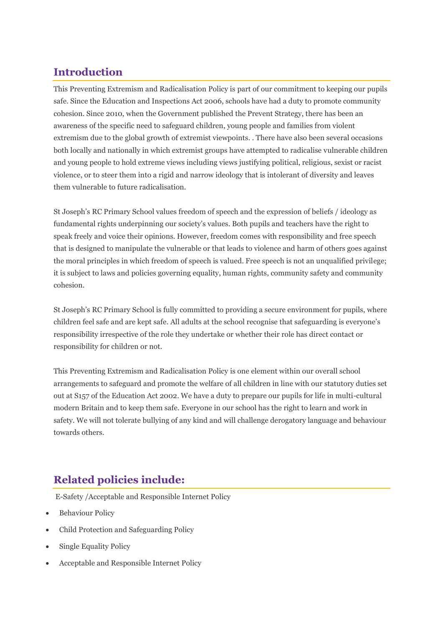# **Introduction**

This Preventing Extremism and Radicalisation Policy is part of our commitment to keeping our pupils safe. Since the Education and Inspections Act 2006, schools have had a duty to promote community cohesion. Since 2010, when the Government published the Prevent Strategy, there has been an awareness of the specific need to safeguard children, young people and families from violent extremism due to the global growth of extremist viewpoints. . There have also been several occasions both locally and nationally in which extremist groups have attempted to radicalise vulnerable children and young people to hold extreme views including views justifying political, religious, sexist or racist violence, or to steer them into a rigid and narrow ideology that is intolerant of diversity and leaves them vulnerable to future radicalisation.

St Joseph's RC Primary School values freedom of speech and the expression of beliefs / ideology as fundamental rights underpinning our society's values. Both pupils and teachers have the right to speak freely and voice their opinions. However, freedom comes with responsibility and free speech that is designed to manipulate the vulnerable or that leads to violence and harm of others goes against the moral principles in which freedom of speech is valued. Free speech is not an unqualified privilege; it is subject to laws and policies governing equality, human rights, community safety and community cohesion.

St Joseph's RC Primary School is fully committed to providing a secure environment for pupils, where children feel safe and are kept safe. All adults at the school recognise that safeguarding is everyone's responsibility irrespective of the role they undertake or whether their role has direct contact or responsibility for children or not.

This Preventing Extremism and Radicalisation Policy is one element within our overall school arrangements to safeguard and promote the welfare of all children in line with our statutory duties set out at S157 of the Education Act 2002. We have a duty to prepare our pupils for life in multi-cultural modern Britain and to keep them safe. Everyone in our school has the right to learn and work in safety. We will not tolerate bullying of any kind and will challenge derogatory language and behaviour towards others.

# **Related policies include:**

E-Safety /Acceptable and Responsible Internet Policy

- Behaviour Policy
- Child Protection and Safeguarding Policy
- Single Equality Policy
- Acceptable and Responsible Internet Policy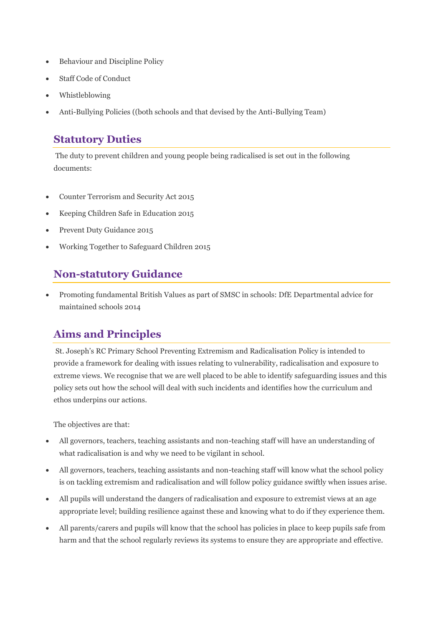- Behaviour and Discipline Policy
- Staff Code of Conduct
- Whistleblowing
- Anti-Bullying Policies ((both schools and that devised by the Anti-Bullying Team)

#### **Statutory Duties**

The duty to prevent children and young people being radicalised is set out in the following documents:

- Counter Terrorism and Security Act 2015
- Keeping Children Safe in Education 2015
- Prevent Duty Guidance 2015
- Working Together to Safeguard Children 2015

## **Non-statutory Guidance**

• Promoting fundamental British Values as part of SMSC in schools: DfE Departmental advice for maintained schools 2014

## **Aims and Principles**

St. Joseph's RC Primary School Preventing Extremism and Radicalisation Policy is intended to provide a framework for dealing with issues relating to vulnerability, radicalisation and exposure to extreme views. We recognise that we are well placed to be able to identify safeguarding issues and this policy sets out how the school will deal with such incidents and identifies how the curriculum and ethos underpins our actions.

The objectives are that:

- All governors, teachers, teaching assistants and non-teaching staff will have an understanding of what radicalisation is and why we need to be vigilant in school.
- All governors, teachers, teaching assistants and non-teaching staff will know what the school policy is on tackling extremism and radicalisation and will follow policy guidance swiftly when issues arise.
- All pupils will understand the dangers of radicalisation and exposure to extremist views at an age appropriate level; building resilience against these and knowing what to do if they experience them.
- All parents/carers and pupils will know that the school has policies in place to keep pupils safe from harm and that the school regularly reviews its systems to ensure they are appropriate and effective.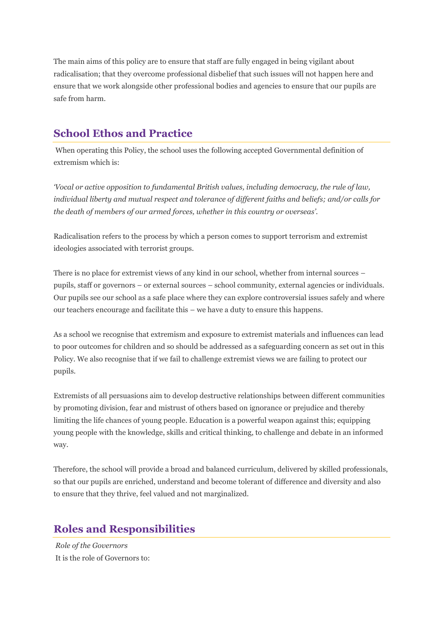The main aims of this policy are to ensure that staff are fully engaged in being vigilant about radicalisation; that they overcome professional disbelief that such issues will not happen here and ensure that we work alongside other professional bodies and agencies to ensure that our pupils are safe from harm.

## **School Ethos and Practice**

When operating this Policy, the school uses the following accepted Governmental definition of extremism which is:

*'Vocal or active opposition to fundamental British values, including democracy, the rule of law, individual liberty and mutual respect and tolerance of different faiths and beliefs; and/or calls for the death of members of our armed forces, whether in this country or overseas'.*

Radicalisation refers to the process by which a person comes to support terrorism and extremist ideologies associated with terrorist groups.

There is no place for extremist views of any kind in our school, whether from internal sources – pupils, staff or governors – or external sources – school community, external agencies or individuals. Our pupils see our school as a safe place where they can explore controversial issues safely and where our teachers encourage and facilitate this – we have a duty to ensure this happens.

As a school we recognise that extremism and exposure to extremist materials and influences can lead to poor outcomes for children and so should be addressed as a safeguarding concern as set out in this Policy. We also recognise that if we fail to challenge extremist views we are failing to protect our pupils.

Extremists of all persuasions aim to develop destructive relationships between different communities by promoting division, fear and mistrust of others based on ignorance or prejudice and thereby limiting the life chances of young people. Education is a powerful weapon against this; equipping young people with the knowledge, skills and critical thinking, to challenge and debate in an informed way.

Therefore, the school will provide a broad and balanced curriculum, delivered by skilled professionals, so that our pupils are enriched, understand and become tolerant of difference and diversity and also to ensure that they thrive, feel valued and not marginalized.

# **Roles and Responsibilities**

*Role of the Governors* It is the role of Governors to: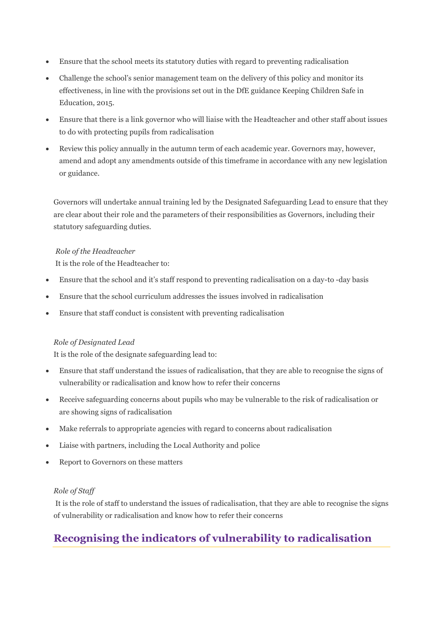- Ensure that the school meets its statutory duties with regard to preventing radicalisation
- Challenge the school's senior management team on the delivery of this policy and monitor its effectiveness, in line with the provisions set out in the DfE guidance Keeping Children Safe in Education, 2015.
- Ensure that there is a link governor who will liaise with the Headteacher and other staff about issues to do with protecting pupils from radicalisation
- Review this policy annually in the autumn term of each academic year. Governors may, however, amend and adopt any amendments outside of this timeframe in accordance with any new legislation or guidance.

Governors will undertake annual training led by the Designated Safeguarding Lead to ensure that they are clear about their role and the parameters of their responsibilities as Governors, including their statutory safeguarding duties.

#### *Role of the Headteacher*

It is the role of the Headteacher to:

- Ensure that the school and it's staff respond to preventing radicalisation on a day-to -day basis
- Ensure that the school curriculum addresses the issues involved in radicalisation
- Ensure that staff conduct is consistent with preventing radicalisation

#### *Role of Designated Lead*

It is the role of the designate safeguarding lead to:

- Ensure that staff understand the issues of radicalisation, that they are able to recognise the signs of vulnerability or radicalisation and know how to refer their concerns
- Receive safeguarding concerns about pupils who may be vulnerable to the risk of radicalisation or are showing signs of radicalisation
- Make referrals to appropriate agencies with regard to concerns about radicalisation
- Liaise with partners, including the Local Authority and police
- Report to Governors on these matters

#### *Role of Staff*

It is the role of staff to understand the issues of radicalisation, that they are able to recognise the signs of vulnerability or radicalisation and know how to refer their concerns

# **Recognising the indicators of vulnerability to radicalisation**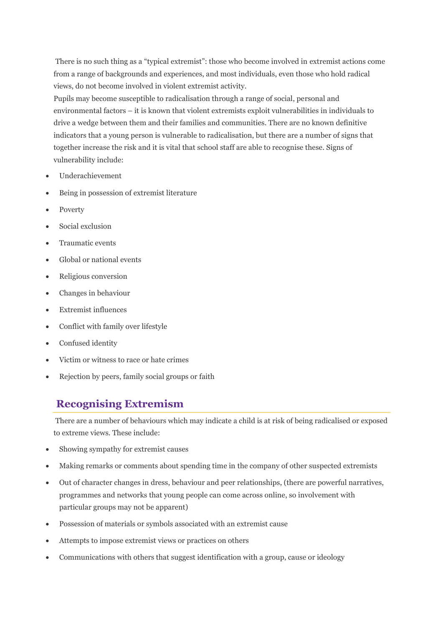There is no such thing as a "typical extremist": those who become involved in extremist actions come from a range of backgrounds and experiences, and most individuals, even those who hold radical views, do not become involved in violent extremist activity.

Pupils may become susceptible to radicalisation through a range of social, personal and environmental factors – it is known that violent extremists exploit vulnerabilities in individuals to drive a wedge between them and their families and communities. There are no known definitive indicators that a young person is vulnerable to radicalisation, but there are a number of signs that together increase the risk and it is vital that school staff are able to recognise these. Signs of vulnerability include:

- Underachievement
- Being in possession of extremist literature
- Poverty
- Social exclusion
- Traumatic events
- Global or national events
- Religious conversion
- Changes in behaviour
- Extremist influences
- Conflict with family over lifestyle
- Confused identity
- Victim or witness to race or hate crimes
- Rejection by peers, family social groups or faith

## **Recognising Extremism**

There are a number of behaviours which may indicate a child is at risk of being radicalised or exposed to extreme views. These include:

- Showing sympathy for extremist causes
- Making remarks or comments about spending time in the company of other suspected extremists
- Out of character changes in dress, behaviour and peer relationships, (there are powerful narratives, programmes and networks that young people can come across online, so involvement with particular groups may not be apparent)
- Possession of materials or symbols associated with an extremist cause
- Attempts to impose extremist views or practices on others
- Communications with others that suggest identification with a group, cause or ideology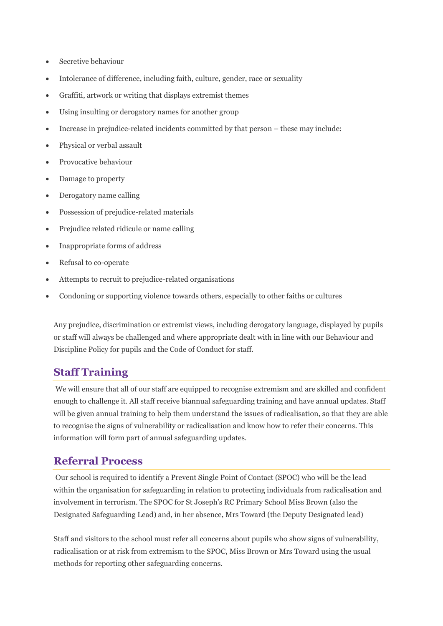- Secretive behaviour
- Intolerance of difference, including faith, culture, gender, race or sexuality
- Graffiti, artwork or writing that displays extremist themes
- Using insulting or derogatory names for another group
- Increase in prejudice-related incidents committed by that person these may include:
- Physical or verbal assault
- Provocative behaviour
- Damage to property
- Derogatory name calling
- Possession of prejudice-related materials
- Prejudice related ridicule or name calling
- Inappropriate forms of address
- Refusal to co-operate
- Attempts to recruit to prejudice-related organisations
- Condoning or supporting violence towards others, especially to other faiths or cultures

Any prejudice, discrimination or extremist views, including derogatory language, displayed by pupils or staff will always be challenged and where appropriate dealt with in line with our Behaviour and Discipline Policy for pupils and the Code of Conduct for staff.

## **Staff Training**

We will ensure that all of our staff are equipped to recognise extremism and are skilled and confident enough to challenge it. All staff receive biannual safeguarding training and have annual updates. Staff will be given annual training to help them understand the issues of radicalisation, so that they are able to recognise the signs of vulnerability or radicalisation and know how to refer their concerns. This information will form part of annual safeguarding updates.

## **Referral Process**

Our school is required to identify a Prevent Single Point of Contact (SPOC) who will be the lead within the organisation for safeguarding in relation to protecting individuals from radicalisation and involvement in terrorism. The SPOC for St Joseph's RC Primary School Miss Brown (also the Designated Safeguarding Lead) and, in her absence, Mrs Toward (the Deputy Designated lead)

Staff and visitors to the school must refer all concerns about pupils who show signs of vulnerability, radicalisation or at risk from extremism to the SPOC, Miss Brown or Mrs Toward using the usual methods for reporting other safeguarding concerns.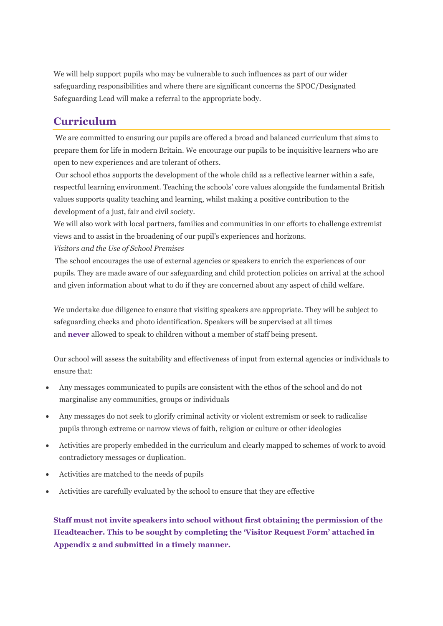We will help support pupils who may be vulnerable to such influences as part of our wider safeguarding responsibilities and where there are significant concerns the SPOC/Designated Safeguarding Lead will make a referral to the appropriate body.

#### **Curriculum**

We are committed to ensuring our pupils are offered a broad and balanced curriculum that aims to prepare them for life in modern Britain. We encourage our pupils to be inquisitive learners who are open to new experiences and are tolerant of others.

Our school ethos supports the development of the whole child as a reflective learner within a safe, respectful learning environment. Teaching the schools' core values alongside the fundamental British values supports quality teaching and learning, whilst making a positive contribution to the development of a just, fair and civil society.

We will also work with local partners, families and communities in our efforts to challenge extremist views and to assist in the broadening of our pupil's experiences and horizons.

*Visitors and the Use of School Premises*

The school encourages the use of external agencies or speakers to enrich the experiences of our pupils. They are made aware of our safeguarding and child protection policies on arrival at the school and given information about what to do if they are concerned about any aspect of child welfare.

We undertake due diligence to ensure that visiting speakers are appropriate. They will be subject to safeguarding checks and photo identification. Speakers will be supervised at all times and **never** allowed to speak to children without a member of staff being present.

Our school will assess the suitability and effectiveness of input from external agencies or individuals to ensure that:

- Any messages communicated to pupils are consistent with the ethos of the school and do not marginalise any communities, groups or individuals
- Any messages do not seek to glorify criminal activity or violent extremism or seek to radicalise pupils through extreme or narrow views of faith, religion or culture or other ideologies
- Activities are properly embedded in the curriculum and clearly mapped to schemes of work to avoid contradictory messages or duplication.
- Activities are matched to the needs of pupils
- Activities are carefully evaluated by the school to ensure that they are effective

**Staff must not invite speakers into school without first obtaining the permission of the Headteacher. This to be sought by completing the 'Visitor Request Form' attached in Appendix 2 and submitted in a timely manner.**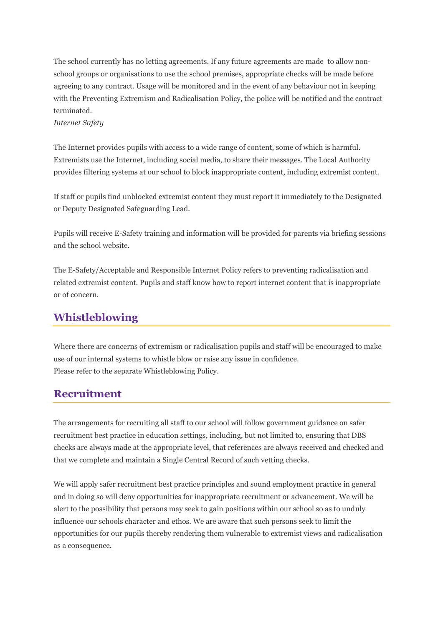The school currently has no letting agreements. If any future agreements are made to allow nonschool groups or organisations to use the school premises, appropriate checks will be made before agreeing to any contract. Usage will be monitored and in the event of any behaviour not in keeping with the Preventing Extremism and Radicalisation Policy, the police will be notified and the contract terminated.

#### *Internet Safety*

The Internet provides pupils with access to a wide range of content, some of which is harmful. Extremists use the Internet, including social media, to share their messages. The Local Authority provides filtering systems at our school to block inappropriate content, including extremist content.

If staff or pupils find unblocked extremist content they must report it immediately to the Designated or Deputy Designated Safeguarding Lead.

Pupils will receive E-Safety training and information will be provided for parents via briefing sessions and the school website.

The E-Safety/Acceptable and Responsible Internet Policy refers to preventing radicalisation and related extremist content. Pupils and staff know how to report internet content that is inappropriate or of concern.

# **Whistleblowing**

Where there are concerns of extremism or radicalisation pupils and staff will be encouraged to make use of our internal systems to whistle blow or raise any issue in confidence. Please refer to the separate Whistleblowing Policy.

## **Recruitment**

The arrangements for recruiting all staff to our school will follow government guidance on safer recruitment best practice in education settings, including, but not limited to, ensuring that DBS checks are always made at the appropriate level, that references are always received and checked and that we complete and maintain a Single Central Record of such vetting checks.

We will apply safer recruitment best practice principles and sound employment practice in general and in doing so will deny opportunities for inappropriate recruitment or advancement. We will be alert to the possibility that persons may seek to gain positions within our school so as to unduly influence our schools character and ethos. We are aware that such persons seek to limit the opportunities for our pupils thereby rendering them vulnerable to extremist views and radicalisation as a consequence.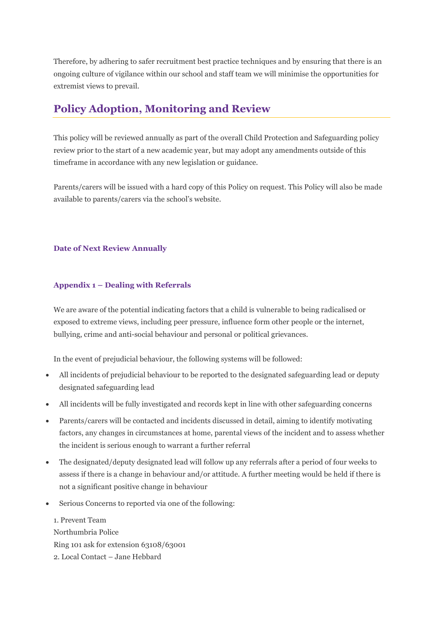Therefore, by adhering to safer recruitment best practice techniques and by ensuring that there is an ongoing culture of vigilance within our school and staff team we will minimise the opportunities for extremist views to prevail.

# **Policy Adoption, Monitoring and Review**

This policy will be reviewed annually as part of the overall Child Protection and Safeguarding policy review prior to the start of a new academic year, but may adopt any amendments outside of this timeframe in accordance with any new legislation or guidance.

Parents/carers will be issued with a hard copy of this Policy on request. This Policy will also be made available to parents/carers via the school's website.

#### **Date of Next Review Annually**

#### **Appendix 1 – Dealing with Referrals**

We are aware of the potential indicating factors that a child is vulnerable to being radicalised or exposed to extreme views, including peer pressure, influence form other people or the internet, bullying, crime and anti-social behaviour and personal or political grievances.

In the event of prejudicial behaviour, the following systems will be followed:

- All incidents of prejudicial behaviour to be reported to the designated safeguarding lead or deputy designated safeguarding lead
- All incidents will be fully investigated and records kept in line with other safeguarding concerns
- Parents/carers will be contacted and incidents discussed in detail, aiming to identify motivating factors, any changes in circumstances at home, parental views of the incident and to assess whether the incident is serious enough to warrant a further referral
- The designated/deputy designated lead will follow up any referrals after a period of four weeks to assess if there is a change in behaviour and/or attitude. A further meeting would be held if there is not a significant positive change in behaviour
- Serious Concerns to reported via one of the following:

1. Prevent Team Northumbria Police Ring 101 ask for extension 63108/63001 2. Local Contact – Jane Hebbard